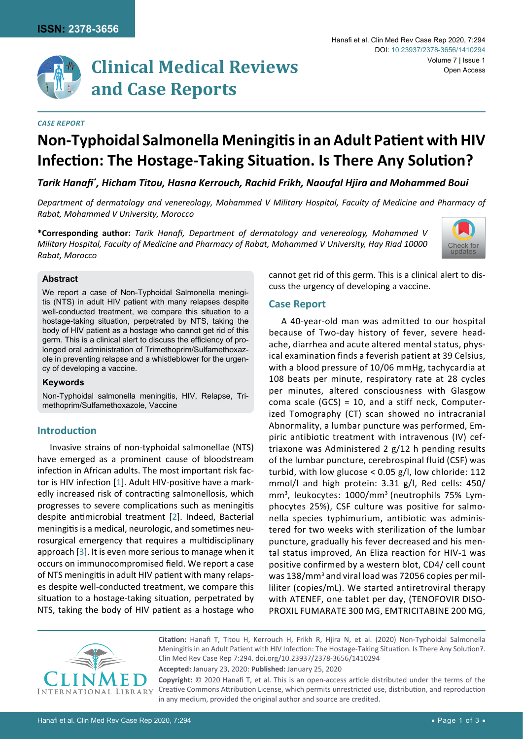

# **Clinical Medical Reviews and Case Reports**

### *Case Report*

## **Non-Typhoidal Salmonella Meningitis in an Adult Patient with HIV Infection: The Hostage-Taking Situation. Is There Any Solution?**

*Tarik Hanafi\* , Hicham Titou, Hasna Kerrouch, Rachid Frikh, Naoufal Hjira and Mohammed Boui*

*Department of dermatology and venereology, Mohammed V Military Hospital, Faculty of Medicine and Pharmacy of Rabat, Mohammed V University, Morocco*

**\*Corresponding author:** *Tarik Hanafi, Department of dermatology and venereology, Mohammed V Military Hospital, Faculty of Medicine and Pharmacy of Rabat, Mohammed V University, Hay Riad 10000 Rabat, Morocco*



#### **Abstract**

We report a case of Non-Typhoidal Salmonella meningitis (NTS) in adult HIV patient with many relapses despite well-conducted treatment, we compare this situation to a hostage-taking situation, perpetrated by NTS, taking the body of HIV patient as a hostage who cannot get rid of this germ. This is a clinical alert to discuss the efficiency of prolonged oral administration of Trimethoprim/Sulfamethoxazole in preventing relapse and a whistleblower for the urgency of developing a vaccine.

## **Keywords**

Non-Typhoidal salmonella meningitis, HIV, Relapse, Trimethoprim/Sulfamethoxazole, Vaccine

## **Introduction**

Invasive strains of non-typhoidal salmonellae (NTS) have emerged as a prominent cause of bloodstream infection in African adults. The most important risk factor is HIV infection [\[1\]](#page-1-0). Adult HIV-positive have a markedly increased risk of contracting salmonellosis, which progresses to severe complications such as meningitis despite antimicrobial treatment [\[2\]](#page-1-1). Indeed, Bacterial meningitis is a medical, neurologic, and sometimes neurosurgical emergency that requires a multidisciplinary approach [\[3\]](#page-1-2). It is even more serious to manage when it occurs on immunocompromised field. We report a case of NTS meningitis in adult HIV patient with many relapses despite well-conducted treatment, we compare this situation to a hostage-taking situation, perpetrated by NTS, taking the body of HIV patient as a hostage who

cannot get rid of this germ. This is a clinical alert to discuss the urgency of developing a vaccine.

## **Case Report**

A 40-year-old man was admitted to our hospital because of Two-day history of fever, severe headache, diarrhea and acute altered mental status, physical examination finds a feverish patient at 39 Celsius, with a blood pressure of 10/06 mmHg, tachycardia at 108 beats per minute, respiratory rate at 28 cycles per minutes, altered consciousness with Glasgow coma scale (GCS) = 10, and a stiff neck, Computerized Tomography (CT) scan showed no intracranial Abnormality, a lumbar puncture was performed, Empiric antibiotic treatment with intravenous (IV) ceftriaxone was Administered 2 g/12 h pending results of the lumbar puncture, cerebrospinal fluid (CSF) was turbid, with low glucose < 0.05 g/l, low chloride: 112 mmol/l and high protein: 3.31 g/l, Red cells: 450/ mm<sup>3</sup>, leukocytes: 1000/mm<sup>3</sup> (neutrophils 75% Lymphocytes 25%), CSF culture was positive for salmonella species typhimurium, antibiotic was administered for two weeks with sterilization of the lumbar puncture, gradually his fever decreased and his mental status improved, An Eliza reaction for HIV-1 was positive confirmed by a western blot, CD4/ cell count was 138/mm<sup>3</sup> and viral load was 72056 copies per milliliter (copies/mL). We started antiretroviral therapy with ATENEF, one tablet per day, (TENOFOVIR DISO-PROXIL FUMARATE 300 MG, EMTRICITABINE 200 MG,



**Citation:** Hanafi T, Titou H, Kerrouch H, Frikh R, Hjira N, et al. (2020) Non-Typhoidal Salmonella Meningitis in an Adult Patient with HIV Infection: The Hostage-Taking Situation. Is There Any Solution?. Clin Med Rev Case Rep 7:294. [doi.org/10.23937/2378-3656/1410294](https://doi.org/10.23937/2378-3656/1410294)

**Accepted:** January 23, 2020: **Published:** January 25, 2020

**Copyright:** © 2020 Hanafi T, et al. This is an open-access article distributed under the terms of the Creative Commons Attribution License, which permits unrestricted use, distribution, and reproduction in any medium, provided the original author and source are credited.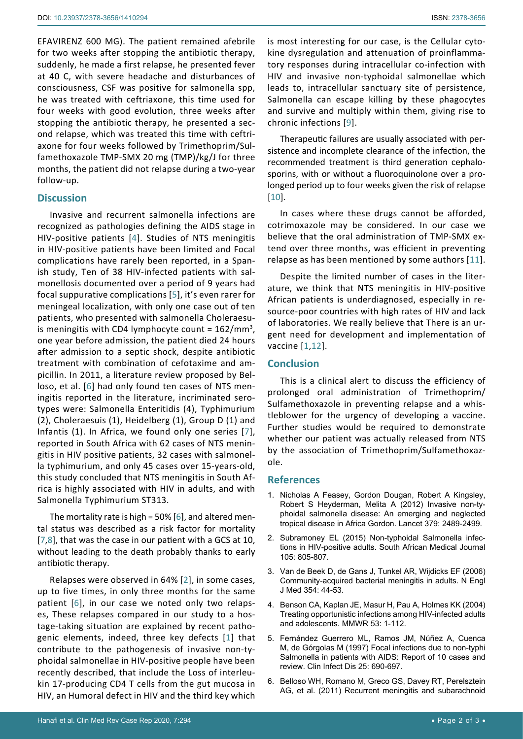EFAVIRENZ 600 MG). The patient remained afebrile for two weeks after stopping the antibiotic therapy, suddenly, he made a first relapse, he presented fever at 40 C, with severe headache and disturbances of consciousness, CSF was positive for salmonella spp, he was treated with ceftriaxone, this time used for four weeks with good evolution, three weeks after stopping the antibiotic therapy, he presented a second relapse, which was treated this time with ceftriaxone for four weeks followed by Trimethoprim/Sulfamethoxazole TMP-SMX 20 mg (TMP)/kg/J for three months, the patient did not relapse during a two-year follow-up.

## **Discussion**

Invasive and recurrent salmonella infections are recognized as pathologies defining the AIDS stage in HIV-positive patients [[4\]](#page-1-3). Studies of NTS meningitis in HIV-positive patients have been limited and Focal complications have rarely been reported, in a Spanish study, Ten of 38 HIV-infected patients with salmonellosis documented over a period of 9 years had focal suppurative complications [[5\]](#page-1-4), it's even rarer for meningeal localization, with only one case out of ten patients, who presented with salmonella Choleraesuis meningitis with CD4 lymphocyte count =  $162/\text{mm}^3$ , one year before admission, the patient died 24 hours after admission to a septic shock, despite antibiotic treatment with combination of cefotaxime and ampicillin. In 2011, a literature review proposed by Belloso, et al. [[6](#page-1-5)] had only found ten cases of NTS meningitis reported in the literature, incriminated serotypes were: Salmonella Enteritidis (4), Typhimurium (2), Choleraesuis (1), Heidelberg (1), Group D (1) and Infantis (1). In Africa, we found only one series [\[7](#page-2-4)], reported in South Africa with 62 cases of NTS meningitis in HIV positive patients, 32 cases with salmonella typhimurium, and only 45 cases over 15-years-old, this study concluded that NTS meningitis in South Africa is highly associated with HIV in adults, and with Salmonella Typhimurium ST313.

The mortality rate is high = 50% [[6](#page-1-5)], and altered mental status was described as a risk factor for mortality [[7](#page-2-4)[,8\]](#page-2-5), that was the case in our patient with a GCS at 10, without leading to the death probably thanks to early antibiotic therapy.

Relapses were observed in 64% [[2\]](#page-1-1), in some cases, up to five times, in only three months for the same patient [\[6](#page-1-5)], in our case we noted only two relapses, These relapses compared in our study to a hostage-taking situation are explained by recent pathogenic elements, indeed, three key defects [[1\]](#page-1-0) that contribute to the pathogenesis of invasive non-typhoidal salmonellae in HIV-positive people have been recently described, that include the Loss of interleukin 17-producing CD4 T cells from the gut mucosa in HIV, an Humoral defect in HIV and the third key which

is most interesting for our case, is the Cellular cytokine dysregulation and attenuation of proinflammatory responses during intracellular co-infection with HIV and invasive non-typhoidal salmonellae which leads to, intracellular sanctuary site of persistence, Salmonella can escape killing by these phagocytes and survive and multiply within them, giving rise to chronic infections [\[9](#page-2-0)].

Therapeutic failures are usually associated with persistence and incomplete clearance of the infection, the recommended treatment is third generation cephalosporins, with or without a fluoroquinolone over a prolonged period up to four weeks given the risk of relapse [\[10](#page-2-1)].

In cases where these drugs cannot be afforded, cotrimoxazole may be considered. In our case we believe that the oral administration of TMP-SMX extend over three months, was efficient in preventing relapse as has been mentioned by some authors [[11](#page-2-2)].

Despite the limited number of cases in the literature, we think that NTS meningitis in HIV-positive African patients is underdiagnosed, especially in resource-poor countries with high rates of HIV and lack of laboratories. We really believe that There is an urgent need for development and implementation of vaccine [[1,](#page-1-0)[12](#page-2-3)].

## **Conclusion**

This is a clinical alert to discuss the efficiency of prolonged oral administration of Trimethoprim/ Sulfamethoxazole in preventing relapse and a whistleblower for the urgency of developing a vaccine. Further studies would be required to demonstrate whether our patient was actually released from NTS by the association of Trimethoprim/Sulfamethoxazole.

### **References**

- <span id="page-1-0"></span>1. [Nicholas A Feasey, Gordon Dougan, Robert A Kingsley,](https://www.ncbi.nlm.nih.gov/pmc/articles/PMC3402672/)  [Robert S Heyderman, Melita A \(2012\) Invasive non-ty](https://www.ncbi.nlm.nih.gov/pmc/articles/PMC3402672/)[phoidal salmonella disease: An emerging and neglected](https://www.ncbi.nlm.nih.gov/pmc/articles/PMC3402672/)  [tropical disease in Africa Gordon. Lancet 379: 2489-2499.](https://www.ncbi.nlm.nih.gov/pmc/articles/PMC3402672/)
- <span id="page-1-1"></span>2. [Subramoney EL \(2015\) Non-typhoidal Salmonella infec](http://www.samj.org.za/index.php/samj/article/view/10018/0)[tions in HIV-positive adults. South African Medical Journal](http://www.samj.org.za/index.php/samj/article/view/10018/0)  [105: 805-807.](http://www.samj.org.za/index.php/samj/article/view/10018/0)
- <span id="page-1-2"></span>3. [Van de Beek D, de Gans J, Tunkel AR, Wijdicks EF \(2006\)](https://www.ncbi.nlm.nih.gov/pubmed/16394301)  [Community-acquired bacterial meningitis in adults. N Engl](https://www.ncbi.nlm.nih.gov/pubmed/16394301)  [J Med 354: 44-53.](https://www.ncbi.nlm.nih.gov/pubmed/16394301)
- <span id="page-1-3"></span>4. [Benson CA, Kaplan JE, Masur H, Pau A, Holmes KK \(2004\)](https://www.ncbi.nlm.nih.gov/pubmed/15841069)  [Treating opportunistic infections among HIV-infected adults](https://www.ncbi.nlm.nih.gov/pubmed/15841069)  [and adolescents. MMWR 53: 1-112.](https://www.ncbi.nlm.nih.gov/pubmed/15841069)
- <span id="page-1-4"></span>5. [Fernández Guerrero ML, Ramos JM, Núñez A, Cuenca](https://www.ncbi.nlm.nih.gov/pubmed/9314463)  [M, de Górgolas M \(1997\) Focal infections due to non-typhi](https://www.ncbi.nlm.nih.gov/pubmed/9314463)  [Salmonella in patients with AIDS: Report of 10 cases and](https://www.ncbi.nlm.nih.gov/pubmed/9314463)  [review. Clin Infect Dis 25: 690-697.](https://www.ncbi.nlm.nih.gov/pubmed/9314463)
- <span id="page-1-5"></span>6. [Belloso WH, Romano M, Greco GS, Davey RT, Perelsztein](https://www.ncbi.nlm.nih.gov/pubmed/21772932)  [AG, et al. \(2011\) Recurrent meningitis and subarachnoid](https://www.ncbi.nlm.nih.gov/pubmed/21772932)